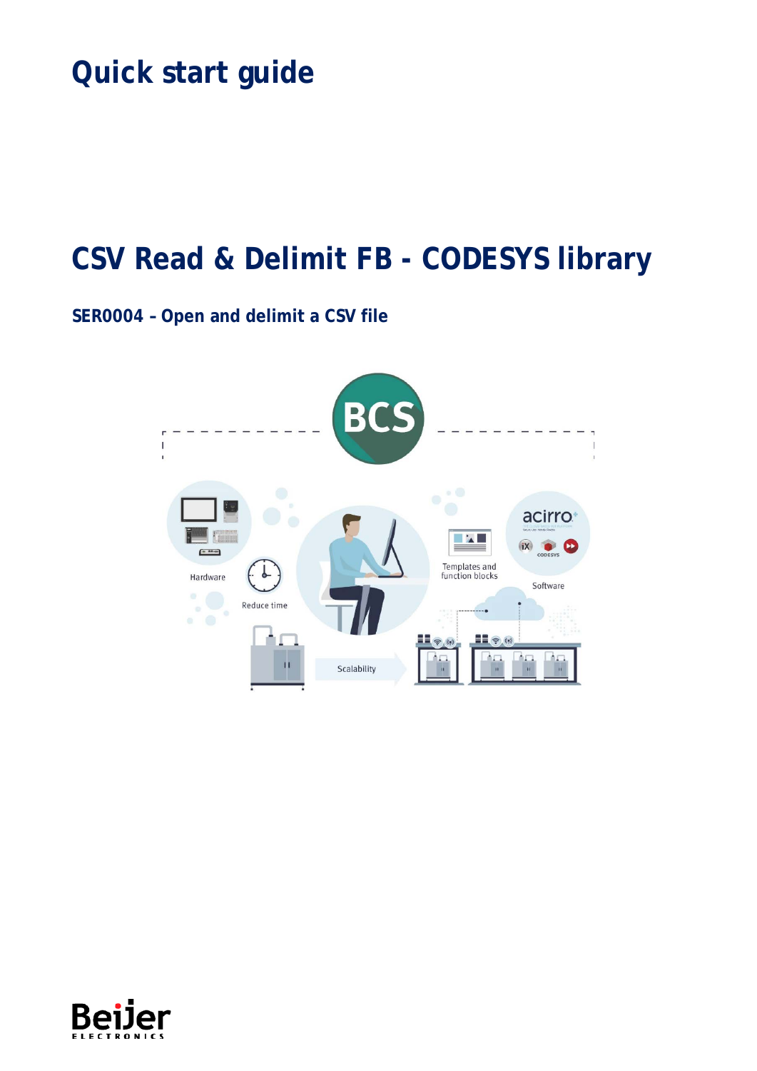# **Quick start guide**

# **CSV Read & Delimit FB - CODESYS library**

## **SER0004 – Open and delimit a CSV file**



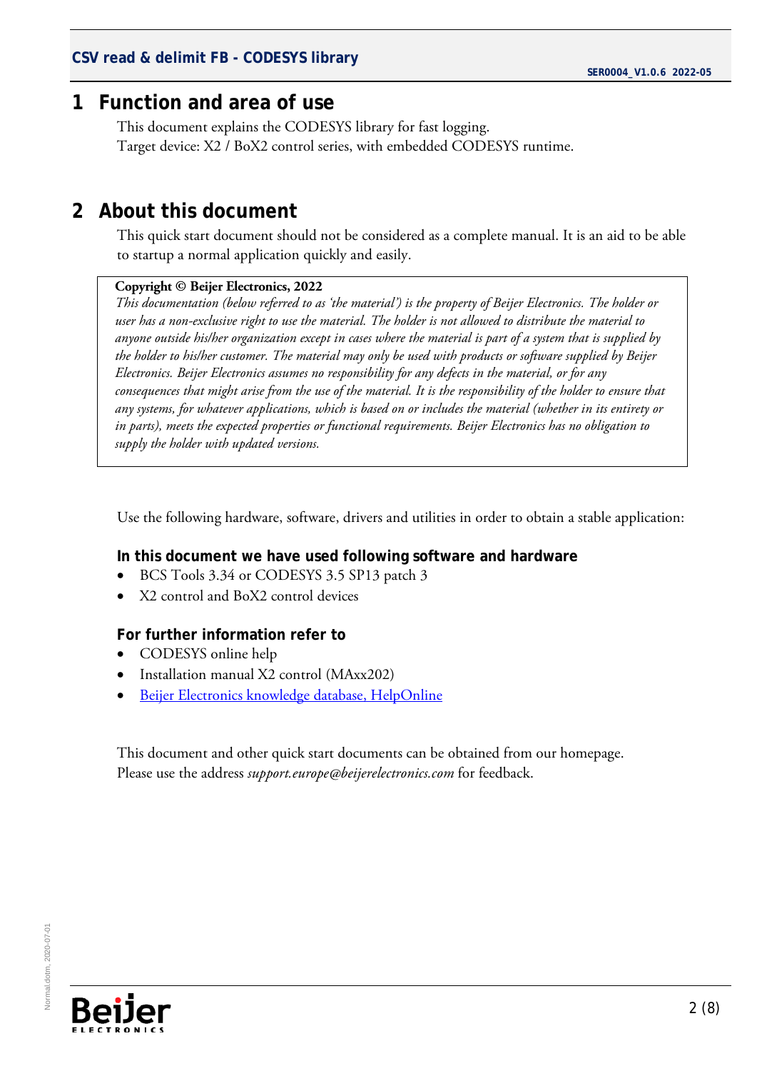### <span id="page-1-0"></span>**1 Function and area of use**

This document explains the CODESYS library for fast logging. Target device: X2 / BoX2 control series, with embedded CODESYS runtime.

## <span id="page-1-1"></span>**2 About this document**

This quick start document should not be considered as a complete manual. It is an aid to be able to startup a normal application quickly and easily.

#### **Copyright © Beijer Electronics, 2022**

*This documentation (below referred to as 'the material') is the property of Beijer Electronics. The holder or user has a non-exclusive right to use the material. The holder is not allowed to distribute the material to anyone outside his/her organization except in cases where the material is part of a system that is supplied by the holder to his/her customer. The material may only be used with products or software supplied by Beijer Electronics. Beijer Electronics assumes no responsibility for any defects in the material, or for any consequences that might arise from the use of the material. It is the responsibility of the holder to ensure that any systems, for whatever applications, which is based on or includes the material (whether in its entirety or in parts), meets the expected properties or functional requirements. Beijer Electronics has no obligation to supply the holder with updated versions.*

Use the following hardware, software, drivers and utilities in order to obtain a stable application:

#### **In this document we have used following software and hardware**

- BCS Tools 3.34 or CODESYS 3.5 SP13 patch 3
- X2 control and BoX2 control devices

#### **For further information refer to**

- CODESYS online help
- Installation manual X2 control (MAxx202)
- [Beijer Electronics knowledge database, HelpOnline](https://www.beijerelectronics.se/sv-SE/Support/file-archive-tree-page)

This document and other quick start documents can be obtained from our homepage. Please use the address *support.europe@beijerelectronics.com* for feedback.

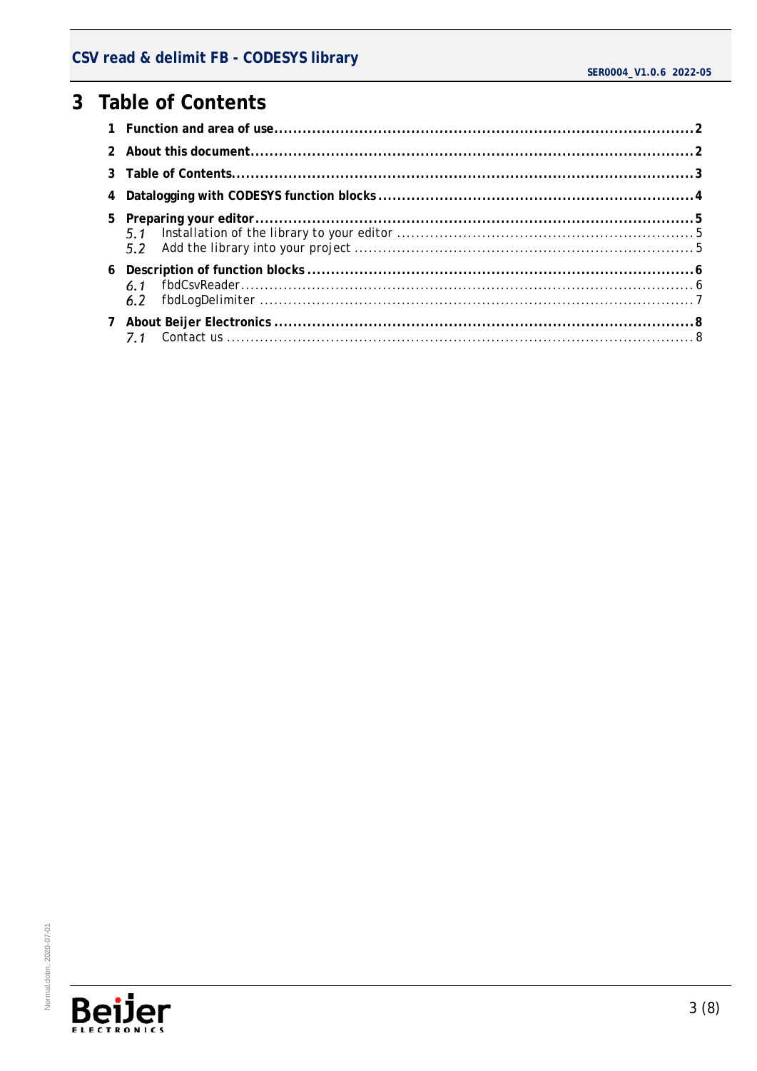# <span id="page-2-0"></span>3 Table of Contents

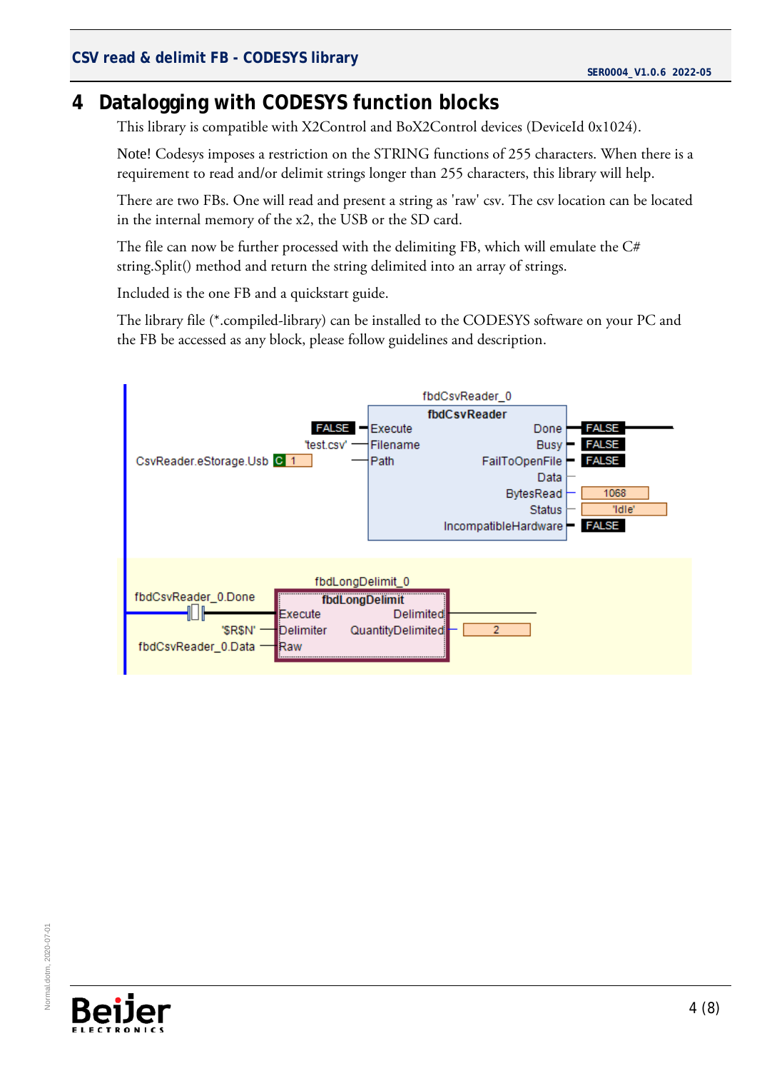# <span id="page-3-0"></span>**4 Datalogging with CODESYS function blocks**

This library is compatible with X2Control and BoX2Control devices (DeviceId 0x1024).

Note! Codesys imposes a restriction on the STRING functions of 255 characters. When there is a requirement to read and/or delimit strings longer than 255 characters, this library will help.

There are two FBs. One will read and present a string as 'raw' csv. The csv location can be located in the internal memory of the x2, the USB or the SD card.

The file can now be further processed with the delimiting FB, which will emulate the C# string.Split() method and return the string delimited into an array of strings.

Included is the one FB and a quickstart guide.

The library file (\*.compiled-library) can be installed to the CODESYS software on your PC and the FB be accessed as any block, please follow guidelines and description.



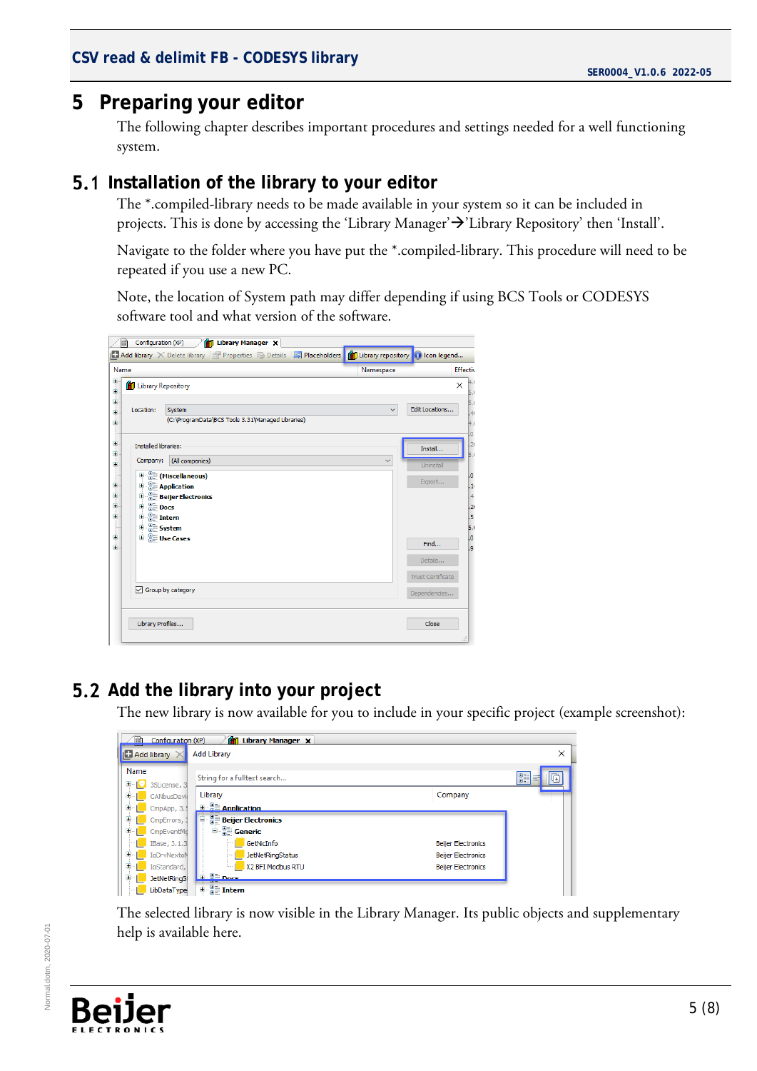## <span id="page-4-0"></span>**5 Preparing your editor**

The following chapter describes important procedures and settings needed for a well functioning system.

#### <span id="page-4-1"></span>**5.1** Installation of the library to your editor

The \*.compiled-library needs to be made available in your system so it can be included in projects. This is done by accessing the 'Library Manager' > 'Library Repository' then 'Install'.

Navigate to the folder where you have put the \*.compiled-library. This procedure will need to be repeated if you use a new PC.

Note, the location of System path may differ depending if using BCS Tools or CODESYS software tool and what version of the software.

| Name                                           |                                                             | Namespace    | Effectiv                            |
|------------------------------------------------|-------------------------------------------------------------|--------------|-------------------------------------|
| Ξ<br><sup>1</sup> Library Repository<br>Ė<br>Ġ |                                                             |              | 4(<br>$\times$<br>5.0               |
| Location:                                      | System<br>(C:\ProgramData\BCS Tools 3.31\Managed Libraries) | $\checkmark$ | 5.0<br>Edit Locations<br>.40<br>4.0 |
| <b>Installed libraries:</b>                    |                                                             |              | .o<br>,20<br>Install<br>5.0         |
| Company:                                       | (All companies)                                             | $\checkmark$ | <b>Uninstall</b>                    |
|                                                | <b>E</b> (Miscellaneous)<br><b>E Application</b>            |              | 1.0<br>Export<br>$\frac{1}{2}$      |
|                                                | <b>Beijer Electronics</b>                                   |              | $\frac{4}{3}$                       |
| 中 SII Docs                                     |                                                             |              | .26                                 |
| $\mathbb{E} \cdot \frac{p}{p}$ Intern          |                                                             |              | .5                                  |
| <b>E</b> System                                | <b>E</b> Use Cases                                          |              | 5.0<br>.0                           |
|                                                |                                                             |              | Find<br>l,9                         |
|                                                |                                                             |              | Details                             |
|                                                |                                                             |              | <b>Trust Certificate</b>            |
|                                                | $\sqrt{ }$ Group by category                                |              | Dependencies                        |
|                                                |                                                             |              |                                     |
|                                                | Library Profiles                                            |              | Close                               |

## <span id="page-4-2"></span>**5.2 Add the library into your project**

The new library is now available for you to include in your specific project (example screenshot):

| 蹦                     | Configuration (XP)<br><b>Library Manager X</b><br>m |                              |                           |          |  |
|-----------------------|-----------------------------------------------------|------------------------------|---------------------------|----------|--|
|                       | $\Box$ Add library $\times$<br><b>Add Library</b>   |                              |                           |          |  |
| Name                  |                                                     | String for a fulltext search |                           | 81<br>U∃ |  |
| $\blacksquare$<br>田-1 | 3SLicense, 3<br>CANbusDevi                          | Library                      | Company                   |          |  |
|                       | CmpApp, 3.5                                         | <b>E Annication</b>          |                           |          |  |
| 田…                    | CmpErrors, 3                                        | <b>Beijer Electronics</b>    |                           |          |  |
|                       | CmpEventMo                                          | <b>E</b> Generic             |                           |          |  |
|                       | IBase, 3.1.3                                        | GetNicInfo                   | <b>Beijer Electronics</b> |          |  |
| $\pm$                 | IoDrvNextoN                                         | <b>JetNetRingStatus</b>      | <b>Beijer Electronics</b> |          |  |
| 田…                    | IoStandard,                                         | X2 BFI Modbus RTU            | <b>Beijer Electronics</b> |          |  |
| $+ -$                 | <b>JetNetRingSt</b>                                 | <b>EL Bilder</b>             |                           |          |  |
| $\mathbb{H}$          | LibDataTvne                                         | <b>E</b> Pli Intern          |                           |          |  |

The selected library is now visible in the Library Manager. Its public objects and supplementary help is available here.



Normal.dotm, 2020-07-01

Normal.dotm. 2020-07-01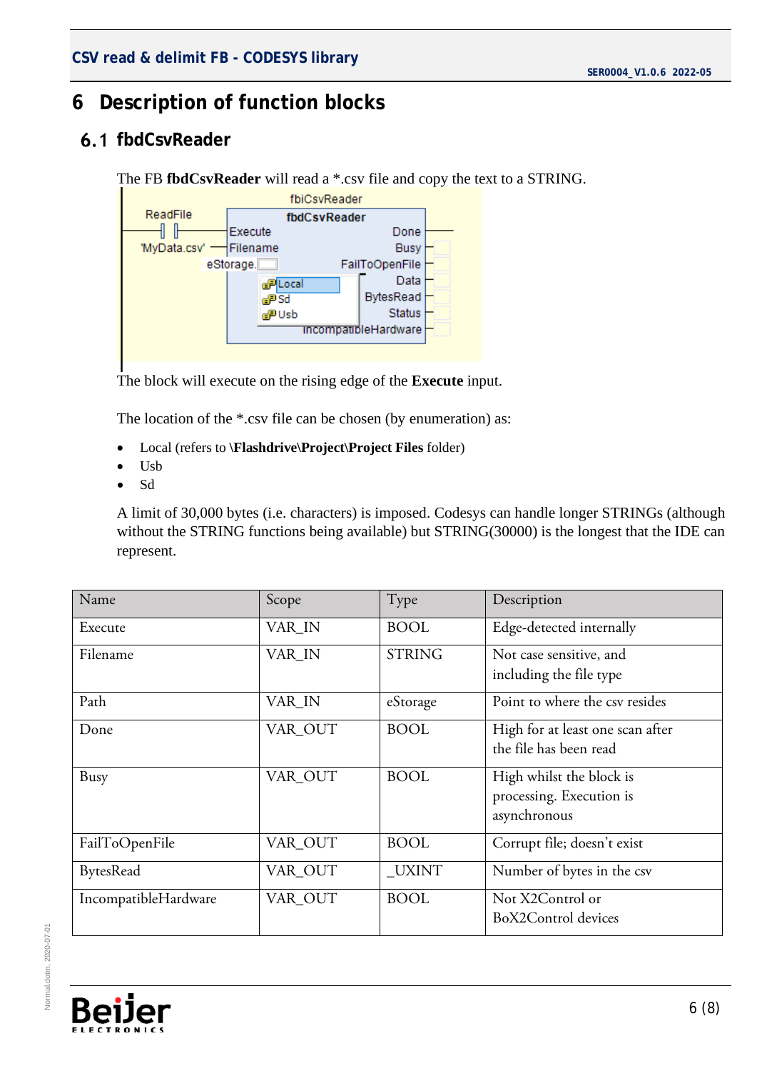# <span id="page-5-0"></span>**6 Description of function blocks**

## <span id="page-5-1"></span>**6.1 fbdCsvReader**

```
The FB fbdCsvReader will read a *.csv file and copy the text to a STRING.
```


The block will execute on the rising edge of the **Execute** input.

The location of the \*.csv file can be chosen (by enumeration) as:

- Local (refers to **\Flashdrive\Project\Project Files** folder)
- Usb
- Sd

A limit of 30,000 bytes (i.e. characters) is imposed. Codesys can handle longer STRINGs (although without the STRING functions being available) but STRING(30000) is the longest that the IDE can represent.

| Name                 | Scope   | Type          | Description                                                          |
|----------------------|---------|---------------|----------------------------------------------------------------------|
| Execute              | VAR_IN  | <b>BOOL</b>   | Edge-detected internally                                             |
| Filename             | VAR_IN  | <b>STRING</b> | Not case sensitive, and<br>including the file type                   |
| Path                 | VAR_IN  | eStorage      | Point to where the csy resides                                       |
| Done                 | VAR_OUT | <b>BOOL</b>   | High for at least one scan after<br>the file has been read           |
| Busy                 | VAR_OUT | <b>BOOL</b>   | High whilst the block is<br>processing. Execution is<br>asynchronous |
| FailToOpenFile       | VAR_OUT | <b>BOOL</b>   | Corrupt file; doesn't exist                                          |
| <b>BytesRead</b>     | VAR_OUT | UXINT         | Number of bytes in the csv                                           |
| IncompatibleHardware | VAR OUT | <b>BOOL</b>   | Not X2Control or<br>BoX2Control devices                              |

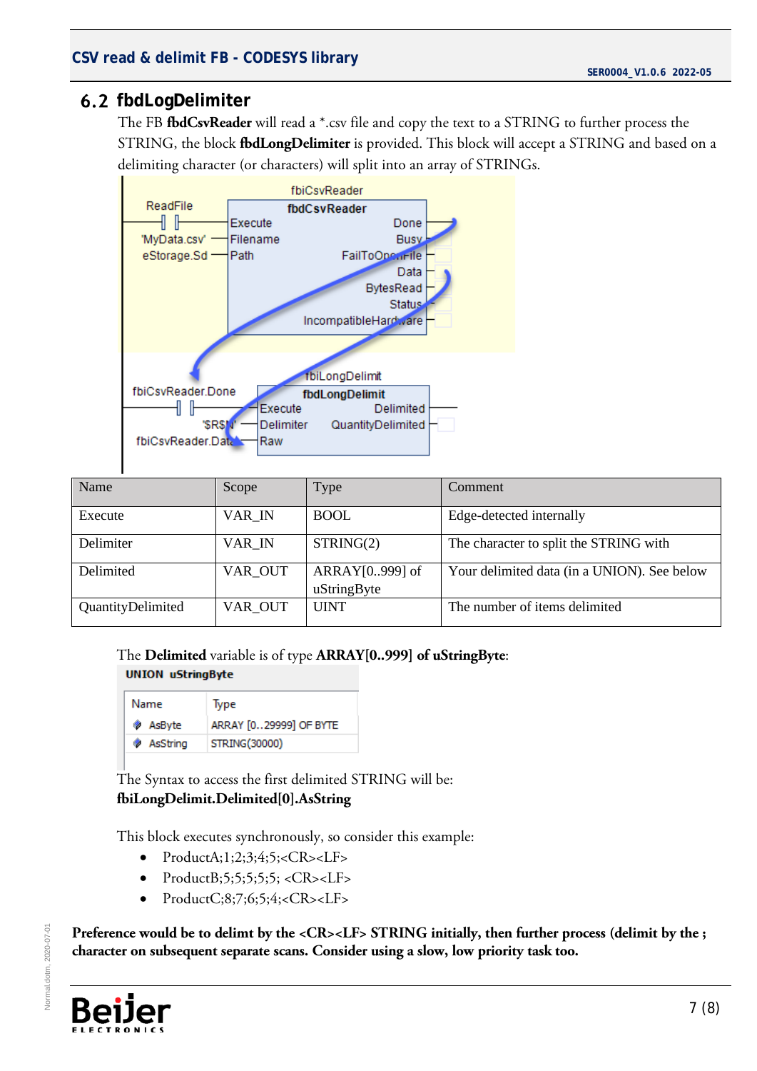#### <span id="page-6-0"></span>**fbdLogDelimiter**

The FB **fbdCsvReader** will read a \*.csv file and copy the text to a STRING to further process the STRING, the block **fbdLongDelimiter** is provided. This block will accept a STRING and based on a delimiting character (or characters) will split into an array of STRINGs.



| Name              | Scope   | Type                              | Comment                                     |
|-------------------|---------|-----------------------------------|---------------------------------------------|
| Execute           | VAR_IN  | <b>BOOL</b>                       | Edge-detected internally                    |
| Delimiter         | VAR IN  | STRING(2)                         | The character to split the STRING with      |
| Delimited         | VAR_OUT | ARRAY $[0.999]$ of<br>uStringByte | Your delimited data (in a UNION). See below |
| QuantityDelimited | VAR OUT | <b>UINT</b>                       | The number of items delimited               |

The **Delimited** variable is of type **ARRAY[0..999] of uStringByte**:

#### **UNION uStringByte**

| Name       | lype                   |
|------------|------------------------|
| ◈ AsByte   | ARRAY [029999] OF BYTE |
| ♦ AsString | STRING(30000)          |

The Syntax to access the first delimited STRING will be: **fbiLongDelimit.Delimited[0].AsString**

This block executes synchronously, so consider this example:

- $Product A; 1; 2; 3; 4; 5; <  $CR$  >  $LF$  >$
- ProductB;5;5;5;5;5; < $CR$ >< $LF$ >
- $ProductC; 8; 7; 6; 5; 4; <  $CR$  >  $LF$  >$

Preference would be to delimt by the <CR><LF> STRING initially, then further process (delimit by the ; **character on subsequent separate scans. Consider using a slow, low priority task too.**